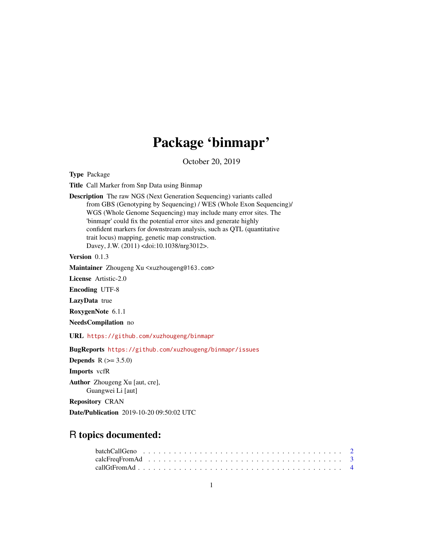# Package 'binmapr'

October 20, 2019

<span id="page-0-0"></span>Type Package

Title Call Marker from Snp Data using Binmap

Description The raw NGS (Next Generation Sequencing) variants called from GBS (Genotyping by Sequencing) / WES (Whole Exon Sequencing)/ WGS (Whole Genome Sequencing) may include many error sites. The 'binmapr' could fix the potential error sites and generate highly confident markers for downstream analysis, such as QTL (quantitative trait locus) mapping, genetic map construction. Davey, J.W. (2011) <doi:10.1038/nrg3012>.

Version 0.1.3

Maintainer Zhougeng Xu <xuzhougeng@163.com>

License Artistic-2.0

Encoding UTF-8

LazyData true

RoxygenNote 6.1.1

NeedsCompilation no

URL <https://github.com/xuzhougeng/binmapr>

BugReports <https://github.com/xuzhougeng/binmapr/issues>

**Depends** R  $(>= 3.5.0)$ 

Imports vcfR

Author Zhougeng Xu [aut, cre], Guangwei Li [aut]

Repository CRAN

Date/Publication 2019-10-20 09:50:02 UTC

# R topics documented: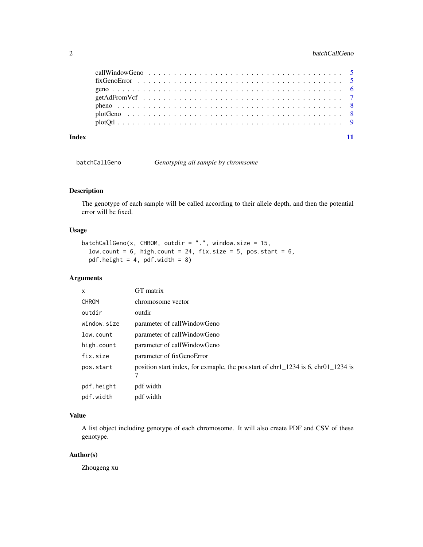# <span id="page-1-0"></span>2 batchCallGeno batchCallGeno batchCallGeno batchCallGeno batchCallGeno batchCallGeno batchCallGeno batchCallGeno batchCallGeno batchCallGeno batchCallGeno batchCallGeno batchCallGeno batchCallGeno batchCallGeno batchCallG

| Index |  |
|-------|--|

batchCallGeno *Genotyping all sample by chromsome*

# Description

The genotype of each sample will be called according to their allele depth, and then the potential error will be fixed.

# Usage

```
batchCallGeno(x, CHROM, outdir = ".", window.size = 15,
 low.count = 6, high.count = 24, fix.size = 5, pos.start = 6,
 pdf.height = 4, pdf.width = 8)
```
#### Arguments

| X            | GT matrix                                                                            |
|--------------|--------------------------------------------------------------------------------------|
| <b>CHROM</b> | chromosome vector                                                                    |
| outdir       | outdir                                                                               |
| window.size  | parameter of callWindowGeno                                                          |
| low.count    | parameter of callWindowGeno                                                          |
| high.count   | parameter of callWindowGeno                                                          |
| fix.size     | parameter of fixGenoError                                                            |
| pos.start    | position start index, for exmaple, the position of $chr1_1234$ is 6, $chr01_1234$ is |
| pdf.height   | pdf width                                                                            |
| pdf.width    | pdf width                                                                            |

# Value

A list object including genotype of each chromosome. It will also create PDF and CSV of these genotype.

# Author(s)

Zhougeng xu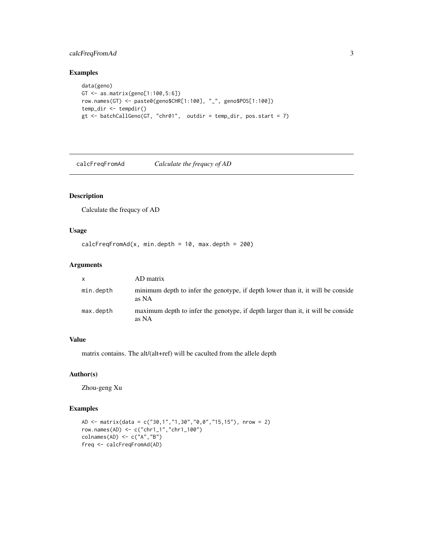# <span id="page-2-0"></span>calcFreqFromAd 3

# Examples

```
data(geno)
GT <- as.matrix(geno[1:100,5:6])
row.names(GT) <- paste0(geno$CHR[1:100], "_", geno$POS[1:100])
temp_dir <- tempdir()
gt <- batchCallGeno(GT, "chr01", outdir = temp_dir, pos.start = 7)
```
calcFreqFromAd *Calculate the frequcy of AD*

# Description

Calculate the frequcy of AD

#### Usage

```
calcFreqFromAd(x, min.depth = 10, max.depth = 200)
```
#### Arguments

| $\mathsf{x}$ | AD matrix                                                                                 |
|--------------|-------------------------------------------------------------------------------------------|
| min.depth    | minimum depth to infer the genotype, if depth lower than it, it will be conside<br>as NA  |
| max.depth    | maximum depth to infer the genotype, if depth larger than it, it will be conside<br>as NA |

#### Value

matrix contains. The alt/(alt+ref) will be caculted from the allele depth

# Author(s)

Zhou-geng Xu

```
AD \le matrix(data = c("30,1","1,30","0,0","15,15"), nrow = 2)
row.names(AD) <- c("chr1_1","chr1_100")
colnames(AD) <- c("A","B")
freq <- calcFreqFromAd(AD)
```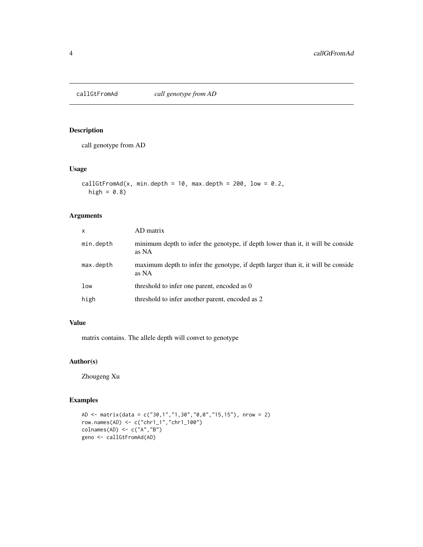<span id="page-3-0"></span>

#### Description

call genotype from AD

## Usage

```
callGtFromAd(x, min.depth = 10, max.depth = 200, low = 0.2,
 high = 0.8)
```
# Arguments

| $\mathsf{x}$ | AD matrix                                                                                 |
|--------------|-------------------------------------------------------------------------------------------|
| min.depth    | minimum depth to infer the genotype, if depth lower than it, it will be conside<br>as NA  |
| max.depth    | maximum depth to infer the genotype, if depth larger than it, it will be conside<br>as NA |
| low          | threshold to infer one parent, encoded as 0                                               |
| high         | threshold to infer another parent, encoded as 2                                           |

# Value

matrix contains. The allele depth will convet to genotype

# Author(s)

Zhougeng Xu

```
AD \le matrix(data = c("30,1","1,30","0,0","15,15"), nrow = 2)
row.names(AD) <- c("chr1_1","chr1_100")
\text{colnames}(\text{AD}) \leftarrow \text{c}("A", "B")geno <- callGtFromAd(AD)
```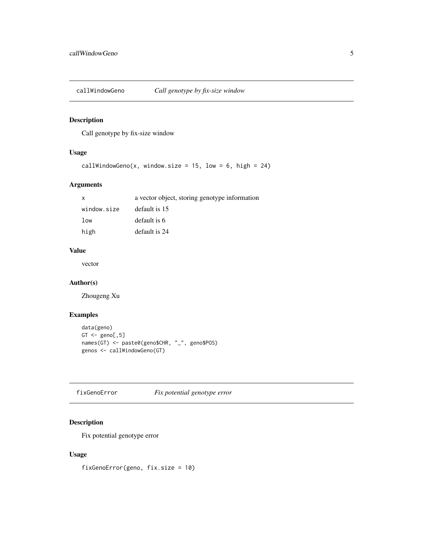<span id="page-4-0"></span>

# Description

Call genotype by fix-size window

# Usage

```
callWindowGeno(x, window.size = 15, low = 6, high = 24)
```
# Arguments

| X           | a vector object, storing genotype information |
|-------------|-----------------------------------------------|
| window.size | default is 15                                 |
| low         | default is 6                                  |
| high        | default is 24                                 |

# Value

vector

### Author(s)

Zhougeng Xu

# Examples

```
data(geno)
GT <- geno[,5]
names(GT) <- paste0(geno$CHR, "_", geno$POS)
genos <- callWindowGeno(GT)
```
fixGenoError *Fix potential genotype error*

# Description

Fix potential genotype error

# Usage

fixGenoError(geno, fix.size = 10)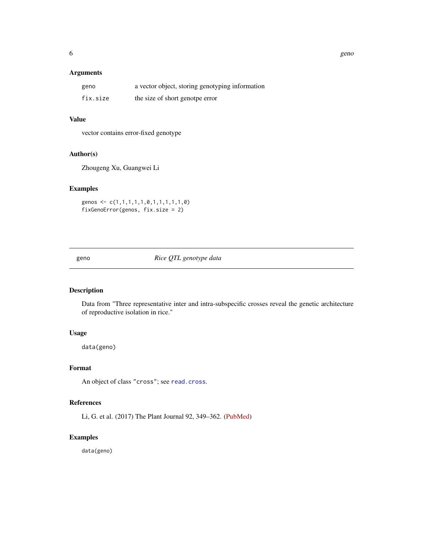# <span id="page-5-0"></span>Arguments

| geno     | a vector object, storing genotyping information |
|----------|-------------------------------------------------|
| fix.size | the size of short genotpe error                 |

### Value

vector contains error-fixed genotype

#### Author(s)

Zhougeng Xu, Guangwei Li

# Examples

genos <- c(1,1,1,1,1,0,1,1,1,1,1,0) fixGenoError(genos, fix.size = 2)

geno *Rice QTL genotype data*

# Description

Data from "Three representative inter and intra-subspecific crosses reveal the genetic architecture of reproductive isolation in rice."

#### Usage

data(geno)

#### Format

An object of class "cross"; see [read.cross](#page-0-0).

#### References

Li, G. et al. (2017) The Plant Journal 92, 349–362. [\(PubMed\)](https://www.ncbi.nlm.nih.gov/pubmed/28805257)

# Examples

data(geno)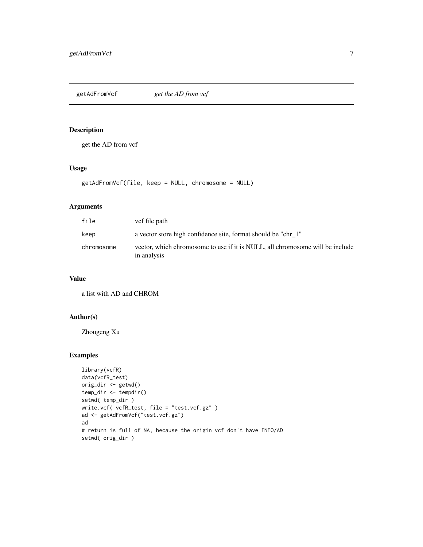<span id="page-6-0"></span>getAdFromVcf *get the AD from vcf*

#### Description

get the AD from vcf

# Usage

```
getAdFromVcf(file, keep = NULL, chromosome = NULL)
```
# Arguments

| file       | vcf file path                                                                                |
|------------|----------------------------------------------------------------------------------------------|
| keep       | a vector store high confidence site, format should be "chr_1"                                |
| chromosome | vector, which chromosome to use if it is NULL, all chromosome will be include<br>in analysis |

#### Value

a list with AD and CHROM

# Author(s)

Zhougeng Xu

```
library(vcfR)
data(vcfR_test)
orig_dir <- getwd()
temp_dir <- tempdir()
setwd( temp_dir )
write.vcf( vcfR_test, file = "test.vcf.gz" )
ad <- getAdFromVcf("test.vcf.gz")
ad
# return is full of NA, because the origin vcf don't have INFO/AD
setwd( orig_dir )
```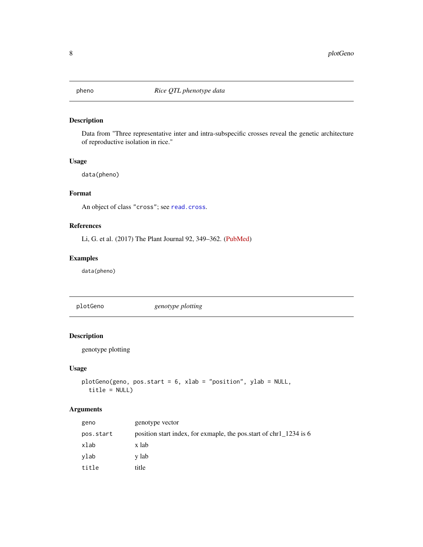<span id="page-7-0"></span>

# Description

Data from "Three representative inter and intra-subspecific crosses reveal the genetic architecture of reproductive isolation in rice."

#### Usage

data(pheno)

# Format

An object of class "cross"; see [read.cross](#page-0-0).

# References

Li, G. et al. (2017) The Plant Journal 92, 349–362. [\(PubMed\)](https://www.ncbi.nlm.nih.gov/pubmed/28805257)

# Examples

data(pheno)

plotGeno *genotype plotting*

# Description

genotype plotting

### Usage

```
plotGeno(geno, pos.start = 6, xlab = "position", ylab = NULL,
  title = NULL)
```
# Arguments

| geno      | genotype vector                                                    |
|-----------|--------------------------------------------------------------------|
| pos.start | position start index, for exmaple, the pos.start of chr1_1234 is 6 |
| xlab      | x lab                                                              |
| vlab      | y lab                                                              |
| title     | title                                                              |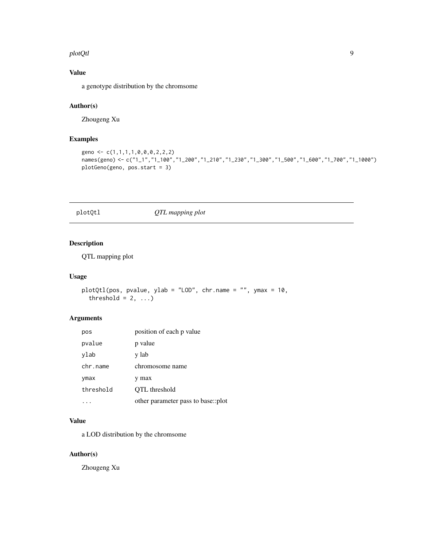#### <span id="page-8-0"></span>plotQtl 9

# Value

a genotype distribution by the chromsome

# Author(s)

Zhougeng Xu

# Examples

```
geno <- c(1,1,1,1,0,0,0,2,2,2)
names(geno) <- c("1_1","1_100","1_200","1_210","1_230","1_300","1_500","1_600","1_700","1_1000")
plotGeno(geno, pos.start = 3)
```
# plotQtl *QTL mapping plot*

# Description

QTL mapping plot

#### Usage

```
plotQtl(pos, pvalue, ylab = "LOD", chr.name = "", ymax = 10,
  threshold = 2, ...)
```
# Arguments

| pos       | position of each p value           |
|-----------|------------------------------------|
| pvalue    | p value                            |
| ylab      | y lab                              |
| chr.name  | chromosome name                    |
| ymax      | max                                |
| threshold | QTL threshold                      |
|           | other parameter pass to base::plot |

## Value

a LOD distribution by the chromsome

# Author(s)

Zhougeng Xu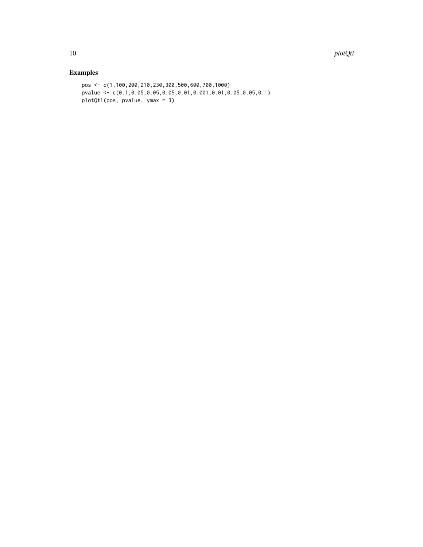```
pos <- c(1,100,200,210,230,300,500,600,700,1000)
pvalue <- c(0.1,0.05,0.05,0.05,0.01,0.001,0.01,0.05,0.05,0.1)
plotQtl(pos, pvalue, ymax = 3)
```